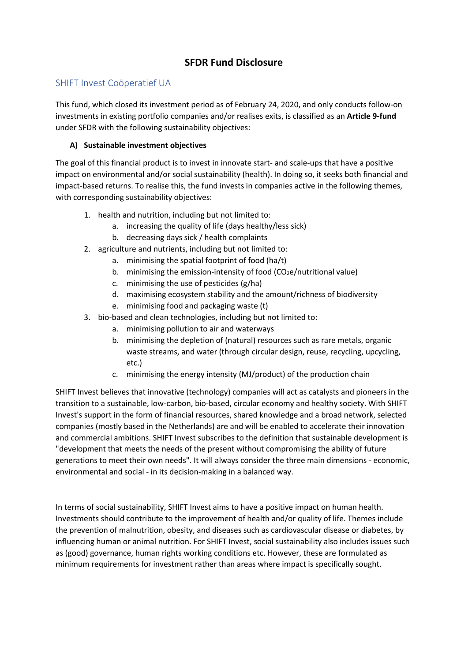# **SFDR Fund Disclosure**

## SHIFT Invest Coöperatief UA

This fund, which closed its investment period as of February 24, 2020, and only conducts follow-on investments in existing portfolio companies and/or realises exits, is classified as an **Article 9-fund** under SFDR with the following sustainability objectives:

### **A) Sustainable investment objectives**

The goal of this financial product is to invest in innovate start- and scale-ups that have a positive impact on environmental and/or social sustainability (health). In doing so, it seeks both financial and impact-based returns. To realise this, the fund invests in companies active in the following themes, with corresponding sustainability objectives:

- 1. health and nutrition, including but not limited to:
	- a. increasing the quality of life (days healthy/less sick)
	- b. decreasing days sick / health complaints
- 2. agriculture and nutrients, including but not limited to:
	- a. minimising the spatial footprint of food (ha/t)
	- b. minimising the emission-intensity of food  $(CO<sub>2</sub>e/nutriational value)$
	- c. minimising the use of pesticides (g/ha)
	- d. maximising ecosystem stability and the amount/richness of biodiversity
	- e. minimising food and packaging waste (t)
- 3. bio-based and clean technologies, including but not limited to:
	- a. minimising pollution to air and waterways
	- b. minimising the depletion of (natural) resources such as rare metals, organic waste streams, and water (through circular design, reuse, recycling, upcycling, etc.)
	- c. minimising the energy intensity (MJ/product) of the production chain

SHIFT Invest believes that innovative (technology) companies will act as catalysts and pioneers in the transition to a sustainable, low-carbon, bio-based, circular economy and healthy society. With SHIFT Invest's support in the form of financial resources, shared knowledge and a broad network, selected companies (mostly based in the Netherlands) are and will be enabled to accelerate their innovation and commercial ambitions. SHIFT Invest subscribes to the definition that sustainable development is "development that meets the needs of the present without compromising the ability of future generations to meet their own needs". It will always consider the three main dimensions - economic, environmental and social - in its decision-making in a balanced way.

In terms of social sustainability, SHIFT Invest aims to have a positive impact on human health. Investments should contribute to the improvement of health and/or quality of life. Themes include the prevention of malnutrition, obesity, and diseases such as cardiovascular disease or diabetes, by influencing human or animal nutrition. For SHIFT Invest, social sustainability also includes issues such as (good) governance, human rights working conditions etc. However, these are formulated as minimum requirements for investment rather than areas where impact is specifically sought.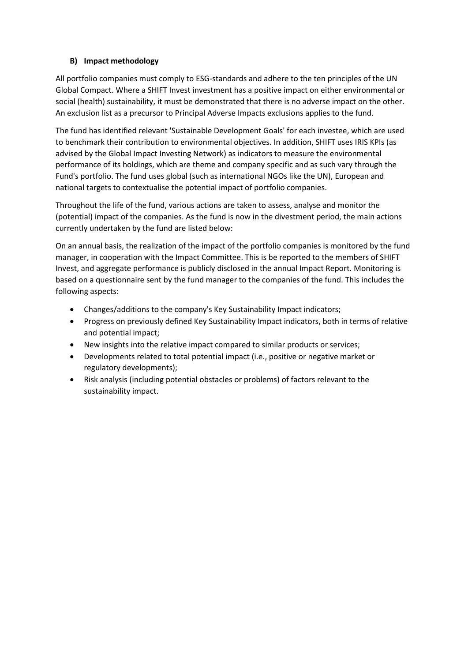#### **B) Impact methodology**

All portfolio companies must comply to ESG-standards and adhere to the ten principles of the UN Global Compact. Where a SHIFT Invest investment has a positive impact on either environmental or social (health) sustainability, it must be demonstrated that there is no adverse impact on the other. An exclusion list as a precursor to Principal Adverse Impacts exclusions applies to the fund.

The fund has identified relevant 'Sustainable Development Goals' for each investee, which are used to benchmark their contribution to environmental objectives. In addition, SHIFT uses IRIS KPIs (as advised by the Global Impact Investing Network) as indicators to measure the environmental performance of its holdings, which are theme and company specific and as such vary through the Fund's portfolio. The fund uses global (such as international NGOs like the UN), European and national targets to contextualise the potential impact of portfolio companies.

Throughout the life of the fund, various actions are taken to assess, analyse and monitor the (potential) impact of the companies. As the fund is now in the divestment period, the main actions currently undertaken by the fund are listed below:

On an annual basis, the realization of the impact of the portfolio companies is monitored by the fund manager, in cooperation with the Impact Committee. This is be reported to the members of SHIFT Invest, and aggregate performance is publicly disclosed in the annual Impact Report. Monitoring is based on a questionnaire sent by the fund manager to the companies of the fund. This includes the following aspects:

- Changes/additions to the company's Key Sustainability Impact indicators;
- Progress on previously defined Key Sustainability Impact indicators, both in terms of relative and potential impact;
- New insights into the relative impact compared to similar products or services;
- Developments related to total potential impact (i.e., positive or negative market or regulatory developments);
- Risk analysis (including potential obstacles or problems) of factors relevant to the sustainability impact.